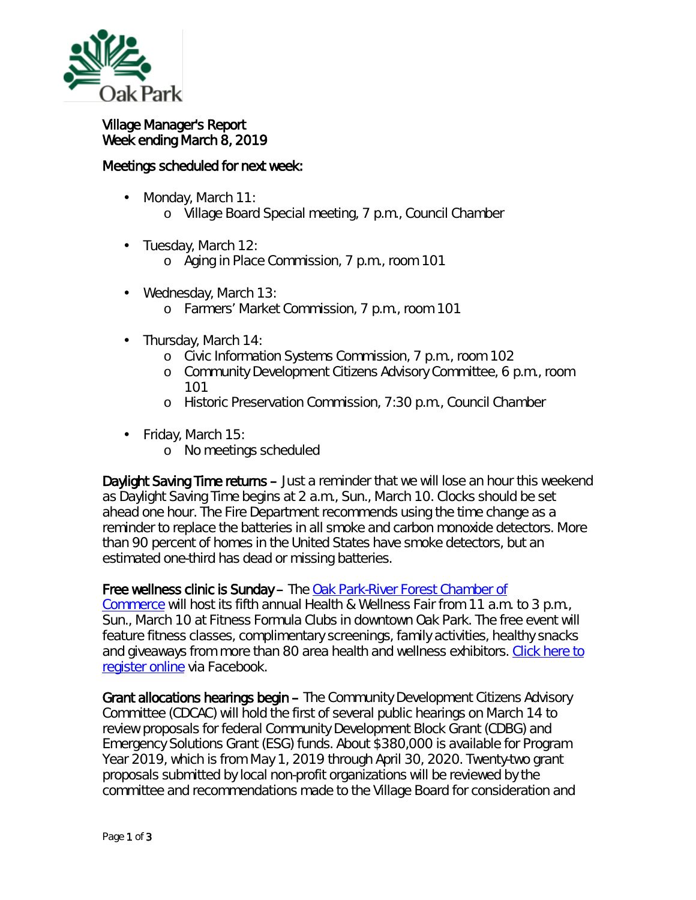

## Village Manager's Report Week ending March 8, 2019

## Meetings scheduled for next week:

- Monday, March 11: ä,
	- o Village Board Special meeting, 7 p.m., Council Chamber
- ä, Tuesday, March 12:
	- o Aging in Place Commission, 7 p.m., room 101
- Wednesday, March 13: ¥, o Farmers' Market Commission, 7 p.m., room 101
- Thursday, March 14: ä,
	- o Civic Information Systems Commission, 7 p.m., room 102
	- o Community Development Citizens Advisory Committee, 6 p.m., room 101
	- o Historic Preservation Commission, 7:30 p.m., Council Chamber
- Friday, March 15:  $\mathbf{r} = \mathbf{r}$ 
	- o No meetings scheduled

Daylight Saving Time returns - Just a reminder that we will lose an hour this weekend as Daylight Saving Time begins at 2 a.m., Sun., March 10. Clocks should be set ahead one hour. The Fire Department recommends using the time change as a reminder to replace the batteries in all smoke and carbon monoxide detectors. More than 90 percent of homes in the United States have smoke detectors, but an estimated one-third has dead or missing batteries.

## Free wellness clinic is Sunday – The Oak Park-River Forest Chamber of

[Commerce](https://www.oprfchamber.org/) will host its fifth annual Health & Wellness Fair from 11 a.m. to 3 p.m., Sun., March 10 at Fitness Formula Clubs in downtown Oak Park. The free event will feature fitness classes, complimentary screenings, family activities, healthy snacks and giveaways from more than 80 area health and wellness exhibitors. [Click here to](https://business.facebook.com/events/609846969435556/)  [register online](https://business.facebook.com/events/609846969435556/) via Facebook.

Grant allocations hearings begin – The Community Development Citizens Advisory Committee (CDCAC) will hold the first of several public hearings on March 14 to review proposals for federal Community Development Block Grant (CDBG) and Emergency Solutions Grant (ESG) funds. About \$380,000 is available for Program Year 2019, which is from May 1, 2019 through April 30, 2020. Twenty-two grant proposals submitted by local non-profit organizations will be reviewed by the committee and recommendations made to the Village Board for consideration and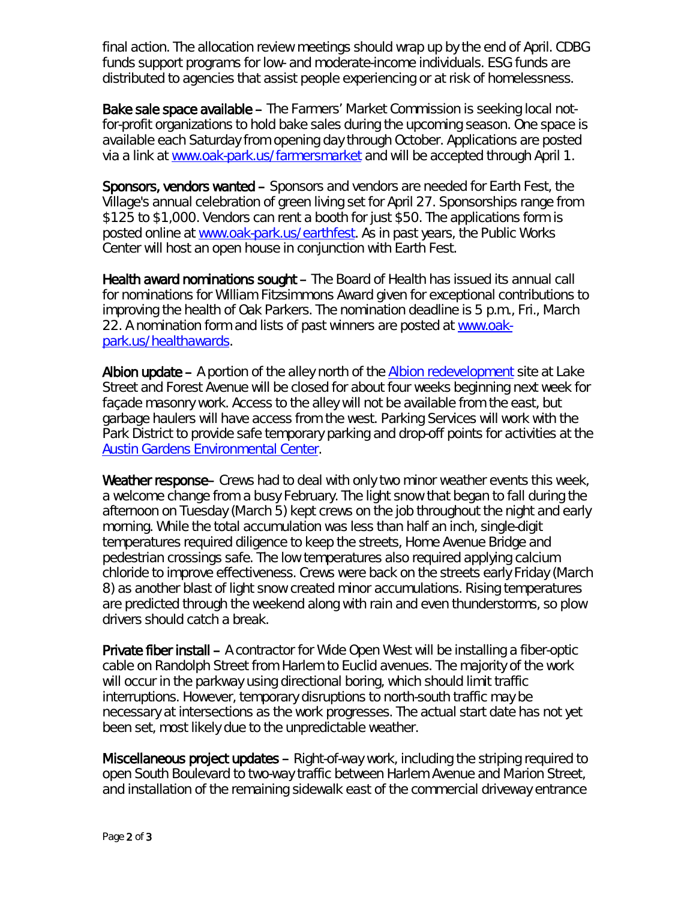final action. The allocation review meetings should wrap up by the end of April. CDBG funds support programs for low- and moderate-income individuals. ESG funds are distributed to agencies that assist people experiencing or at risk of homelessness.

Bake sale space available – The Farmers' Market Commission is seeking local notfor-profit organizations to hold bake sales during the upcoming season. One space is available each Saturday from opening day through October. Applications are posted via a link at [www.oak-park.us/farmersmarket](http://www.oak-park.us/farmersmarket) and will be accepted through April 1.

Sponsors, vendors wanted – Sponsors and vendors are needed for Earth Fest, the Village's annual celebration of green living set for April 27. Sponsorships range from \$125 to \$1,000. Vendors can rent a booth for just \$50. The applications form is posted online at [www.oak-park.us/earthfest.](http://www.oak-park.us/earthfest) As in past years, the Public Works Center will host an open house in conjunction with Earth Fest.

Health award nominations sought – The Board of Health has issued its annual call for nominations for *William Fitzsimmons Award* given for exceptional contributions to improving the health of Oak Parkers. The nomination deadline is 5 p.m., Fri., March 22. A nomination form and lists of past winners are posted at [www.oak](http://www.oak-park.us/healthawards?fbclid=IwAR2PU6MF-N8nm5yqQ6pMHjiFvl0kEuDwT3n82fQQMjzqTniphJv38Ip61sI)[park.us/healthawards.](http://www.oak-park.us/healthawards?fbclid=IwAR2PU6MF-N8nm5yqQ6pMHjiFvl0kEuDwT3n82fQQMjzqTniphJv38Ip61sI)

Albion update – A portion of the alley north of the [Albion redevelopment](https://oakparkeconomicdevelopmentcorporation.org/portfolio/http-albion-residential-com-projects-the-albion-at-oak-park/) site at Lake Street and Forest Avenue will be closed for about four weeks beginning next week for façade masonry work. Access to the alley will not be available from the east, but garbage haulers will have access from the west. Parking Services will work with the Park District to provide safe temporary parking and drop-off points for activities at the **[Austin Gardens Environmental Center.](https://www.pdop.org/facilities-detail-page/?fid=148)** 

Weather response– Crews had to deal with only two minor weather events this week, a welcome change from a busy February. The light snow that began to fall during the afternoon on Tuesday (March 5) kept crews on the job throughout the night and early morning. While the total accumulation was less than half an inch, single-digit temperatures required diligence to keep the streets, Home Avenue Bridge and pedestrian crossings safe. The low temperatures also required applying calcium chloride to improve effectiveness. Crews were back on the streets early Friday (March 8) as another blast of light snow created minor accumulations. Rising temperatures are predicted through the weekend along with rain and even thunderstorms, so plow drivers should catch a break.

Private fiber install – A contractor for Wide Open West will be installing a fiber-optic cable on Randolph Street from Harlem to Euclid avenues. The majority of the work will occur in the parkway using directional boring, which should limit traffic interruptions. However, temporary disruptions to north-south traffic may be necessary at intersections as the work progresses. The actual start date has not yet been set, most likely due to the unpredictable weather.

Miscellaneous project updates – Right-of-way work, including the striping required to open South Boulevard to two-way traffic between Harlem Avenue and Marion Street, and installation of the remaining sidewalk east of the commercial driveway entrance